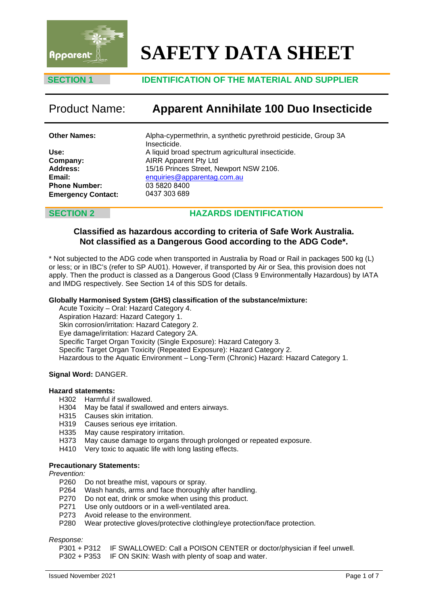

# **SAFETY DATA SHEET**

# **SECTION 1 IDENTIFICATION OF THE MATERIAL AND SUPPLIER**

# Product Name: **Apparent Annihilate 100 Duo Insecticide**

**Other Names:**

**Use: Company: Address: Email: Phone Number: Emergency Contact:** Alpha-cypermethrin, a synthetic pyrethroid pesticide, Group 3A Insecticide. A liquid broad spectrum agricultural insecticide. AIRR Apparent Pty Ltd 15/16 Princes Street, Newport NSW 2106. enquiries@apparentag.com.au [03 5820 8400](mailto:enquiries@apparentag.com.au) 0437 303 689

# **SECTION 2 HAZARDS IDENTIFICATION**

# **Classified as hazardous according to criteria of Safe Work Australia. Not classified as a Dangerous Good according to the ADG Code\*.**

\* Not subjected to the ADG code when transported in Australia by Road or Rail in packages 500 kg (L) or less; or in IBC's (refer to SP AU01). However, if transported by Air or Sea, this provision does not apply. Then the product is classed as a Dangerous Good (Class 9 Environmentally Hazardous) by IATA and IMDG respectively. See Section 14 of this SDS for details.

### **Globally Harmonised System (GHS) classification of the substance/mixture:**

Acute Toxicity – Oral: Hazard Category 4. Aspiration Hazard: Hazard Category 1. Skin corrosion/irritation: Hazard Category 2. Eye damage/irritation: Hazard Category 2A. Specific Target Organ Toxicity (Single Exposure): Hazard Category 3. Specific Target Organ Toxicity (Repeated Exposure): Hazard Category 2. Hazardous to the Aquatic Environment – Long-Term (Chronic) Hazard: Hazard Category 1.

### **Signal Word:** DANGER.

### **Hazard statements:**

- H302 Harmful if swallowed.
- H304 May be fatal if swallowed and enters airways.
- H315 Causes skin irritation.
- H319 Causes serious eye irritation.
- H335 May cause respiratory irritation.
- H373 May cause damage to organs through prolonged or repeated exposure.
- H410 Very toxic to aquatic life with long lasting effects.

### **Precautionary Statements:**

*Prevention:*

- P260 Do not breathe mist, vapours or spray.
- P264 Wash hands, arms and face thoroughly after handling.
- P270 Do not eat, drink or smoke when using this product.<br>P271 Use only outdoors or in a well-ventilated area.
- Use only outdoors or in a well-ventilated area.
- P273 Avoid release to the environment.
- P280 Wear protective gloves/protective clothing/eye protection/face protection.

*Response:* P301 + P312 IF SWALLOWED: Call a POISON CENTER or doctor/physician if feel unwell.<br>P302 + P353 IF ON SKIN: Wash with plenty of soap and water.

IF ON SKIN: Wash with plenty of soap and water.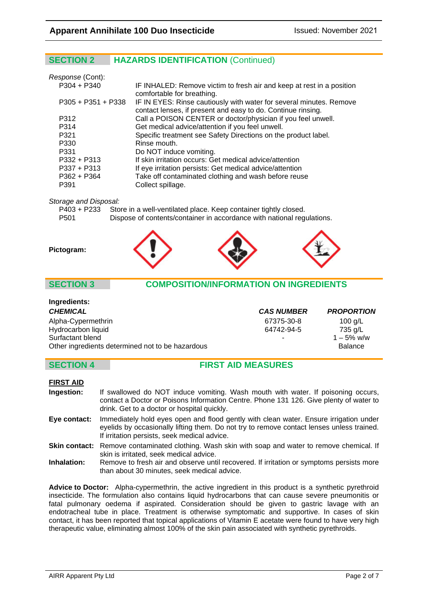# **SECTION 2 HAZARDS IDENTIFICATION** (Continued)

| Response (Cont):     |                                                                                                                                     |
|----------------------|-------------------------------------------------------------------------------------------------------------------------------------|
| $P304 + P340$        | IF INHALED: Remove victim to fresh air and keep at rest in a position<br>comfortable for breathing.                                 |
| $P305 + P351 + P338$ | IF IN EYES: Rinse cautiously with water for several minutes. Remove<br>contact lenses, if present and easy to do. Continue rinsing. |
| P312                 | Call a POISON CENTER or doctor/physician if you feel unwell.                                                                        |
| P314                 | Get medical advice/attention if you feel unwell.                                                                                    |
| P321                 | Specific treatment see Safety Directions on the product label.                                                                      |
| P330                 | Rinse mouth.                                                                                                                        |
| P331                 | Do NOT induce vomiting.                                                                                                             |
| $P332 + P313$        | If skin irritation occurs: Get medical advice/attention                                                                             |
| $P337 + P313$        | If eye irritation persists: Get medical advice/attention                                                                            |
| $P362 + P364$        | Take off contaminated clothing and wash before reuse                                                                                |
| P391                 | Collect spillage.                                                                                                                   |

*Storage and Disposal:*

|      | P403 + P233 Store in a well-ventilated place. Keep container tightly closed. |
|------|------------------------------------------------------------------------------|
| P501 | Dispose of contents/container in accordance with national regulations.       |



# **SECTION 3 COMPOSITION/INFORMATION ON INGREDIENTS**

| Ingredients:                                     |                   |                   |
|--------------------------------------------------|-------------------|-------------------|
| <b>CHEMICAL</b>                                  | <b>CAS NUMBER</b> | <b>PROPORTION</b> |
| Alpha-Cypermethrin                               | 67375-30-8        | 100 $q/L$         |
| Hydrocarbon liquid                               | 64742-94-5        | 735 g/L           |
| Surfactant blend                                 | ٠                 | $1 - 5\%$ w/w     |
| Other ingredients determined not to be hazardous |                   | <b>Balance</b>    |

# **SECTION 4 FIRST AID MEASURES**

### **FIRST AID**

- **Ingestion:** If swallowed do NOT induce vomiting. Wash mouth with water. If poisoning occurs, contact a Doctor or Poisons Information Centre. Phone 131 126. Give plenty of water to drink. Get to a doctor or hospital quickly.
- **Eye contact:** Immediately hold eyes open and flood gently with clean water. Ensure irrigation under eyelids by occasionally lifting them. Do not try to remove contact lenses unless trained. If irritation persists, seek medical advice.
- **Skin contact:** Remove contaminated clothing. Wash skin with soap and water to remove chemical. If skin is irritated, seek medical advice.
- **Inhalation:** Remove to fresh air and observe until recovered. If irritation or symptoms persists more than about 30 minutes, seek medical advice.

**Advice to Doctor:** Alpha-cypermethrin, the active ingredient in this product is a synthetic pyrethroid insecticide. The formulation also contains liquid hydrocarbons that can cause severe pneumonitis or fatal pulmonary oedema if aspirated. Consideration should be given to gastric lavage with an endotracheal tube in place. Treatment is otherwise symptomatic and supportive. In cases of skin contact, it has been reported that topical applications of Vitamin E acetate were found to have very high therapeutic value, eliminating almost 100% of the skin pain associated with synthetic pyrethroids.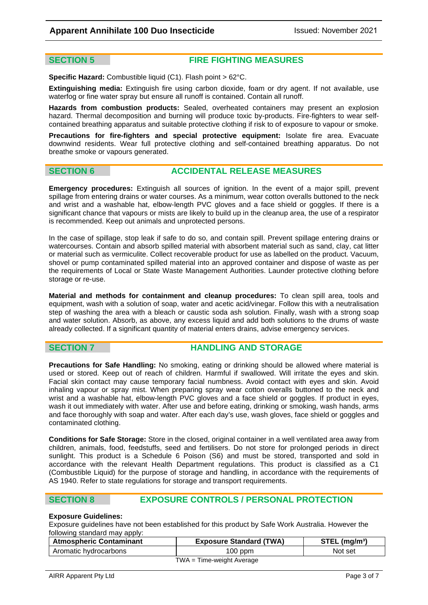# **SECTION 5 FIRE FIGHTING MEASURES**

**Specific Hazard:** Combustible liquid (C1). Flash point > 62°C.

**Extinguishing media:** Extinguish fire using carbon dioxide, foam or dry agent. If not available, use waterfog or fine water spray but ensure all runoff is contained. Contain all runoff.

**Hazards from combustion products:** Sealed, overheated containers may present an explosion hazard. Thermal decomposition and burning will produce toxic by-products. Fire-fighters to wear selfcontained breathing apparatus and suitable protective clothing if risk to of exposure to vapour or smoke.

**Precautions for fire-fighters and special protective equipment:** Isolate fire area. Evacuate downwind residents. Wear full protective clothing and self-contained breathing apparatus. Do not breathe smoke or vapours generated.

# **SECTION 6 ACCIDENTAL RELEASE MEASURES**

**Emergency procedures:** Extinguish all sources of ignition. In the event of a major spill, prevent spillage from entering drains or water courses. As a minimum, wear cotton overalls buttoned to the neck and wrist and a washable hat, elbow-length PVC gloves and a face shield or goggles. If there is a significant chance that vapours or mists are likely to build up in the cleanup area, the use of a respirator is recommended. Keep out animals and unprotected persons.

In the case of spillage, stop leak if safe to do so, and contain spill. Prevent spillage entering drains or watercourses. Contain and absorb spilled material with absorbent material such as sand, clay, cat litter or material such as vermiculite. Collect recoverable product for use as labelled on the product. Vacuum, shovel or pump contaminated spilled material into an approved container and dispose of waste as per the requirements of Local or State Waste Management Authorities. Launder protective clothing before storage or re-use.

**Material and methods for containment and cleanup procedures:** To clean spill area, tools and equipment, wash with a solution of soap, water and acetic acid/vinegar. Follow this with a neutralisation step of washing the area with a bleach or caustic soda ash solution. Finally, wash with a strong soap and water solution. Absorb, as above, any excess liquid and add both solutions to the drums of waste already collected. If a significant quantity of material enters drains, advise emergency services.

### **SECTION 7 HANDLING AND STORAGE**

**Precautions for Safe Handling:** No smoking, eating or drinking should be allowed where material is used or stored. Keep out of reach of children. Harmful if swallowed. Will irritate the eyes and skin. Facial skin contact may cause temporary facial numbness. Avoid contact with eyes and skin. Avoid inhaling vapour or spray mist. When preparing spray wear cotton overalls buttoned to the neck and wrist and a washable hat, elbow-length PVC gloves and a face shield or goggles. If product in eyes, wash it out immediately with water. After use and before eating, drinking or smoking, wash hands, arms and face thoroughly with soap and water. After each day's use, wash gloves, face shield or goggles and contaminated clothing.

**Conditions for Safe Storage:** Store in the closed, original container in a well ventilated area away from children, animals, food, feedstuffs, seed and fertilisers. Do not store for prolonged periods in direct sunlight. This product is a Schedule 6 Poison (S6) and must be stored, transported and sold in accordance with the relevant Health Department regulations. This product is classified as a C1 (Combustible Liquid) for the purpose of storage and handling, in accordance with the requirements of AS 1940. Refer to state regulations for storage and transport requirements.

# **SECTION 8 EXPOSURE CONTROLS / PERSONAL PROTECTION**

### **Exposure Guidelines:**

Exposure guidelines have not been established for this product by Safe Work Australia. However the following standard may apply:

| <b>Atmospheric Contaminant</b> | <b>Exposure Standard (TWA)</b> | $STEL$ (mg/m <sup>3</sup> ) |  |  |
|--------------------------------|--------------------------------|-----------------------------|--|--|
| Aromatic hydrocarbons          | $100$ ppm                      | Not set                     |  |  |
| $TWA = Time-weight Average$    |                                |                             |  |  |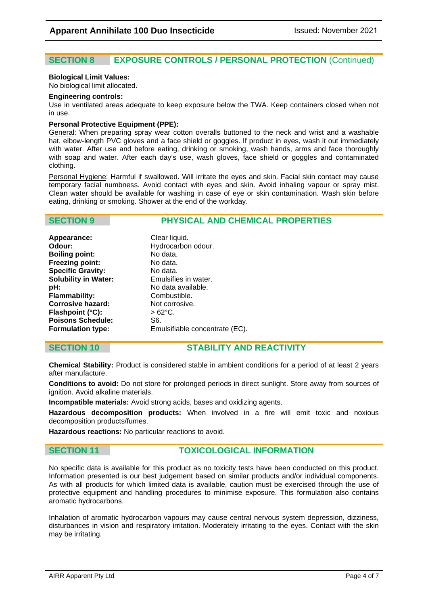# **SECTION 8 EXPOSURE CONTROLS / PERSONAL PROTECTION** (Continued)

### **Biological Limit Values:**

No biological limit allocated.

### **Engineering controls:**

Use in ventilated areas adequate to keep exposure below the TWA. Keep containers closed when not in use.

### **Personal Protective Equipment (PPE):**

General: When preparing spray wear cotton overalls buttoned to the neck and wrist and a washable hat, elbow-length PVC gloves and a face shield or goggles. If product in eyes, wash it out immediately with water. After use and before eating, drinking or smoking, wash hands, arms and face thoroughly with soap and water. After each day's use, wash gloves, face shield or goggles and contaminated clothing.

Personal Hygiene: Harmful if swallowed. Will irritate the eyes and skin. Facial skin contact may cause temporary facial numbness. Avoid contact with eyes and skin. Avoid inhaling vapour or spray mist. Clean water should be available for washing in case of eye or skin contamination. Wash skin before eating, drinking or smoking. Shower at the end of the workday.

# **SECTION 9 PHYSICAL AND CHEMICAL PROPERTIES**

| Appearance:                 | Clear liquid.                  |
|-----------------------------|--------------------------------|
| Odour:                      | Hydrocarbon odour.             |
| <b>Boiling point:</b>       | No data.                       |
| <b>Freezing point:</b>      | No data.                       |
| <b>Specific Gravity:</b>    | No data.                       |
| <b>Solubility in Water:</b> | Emulsifies in water.           |
| pH:                         | No data available.             |
| <b>Flammability:</b>        | Combustible.                   |
| <b>Corrosive hazard:</b>    | Not corrosive.                 |
| Flashpoint (°C):            | $>62^{\circ}$ C.               |
| <b>Poisons Schedule:</b>    | S6.                            |
| <b>Formulation type:</b>    | Emulsifiable concentrate (EC). |
|                             |                                |

# **SECTION 10 STABILITY AND REACTIVITY**

**Chemical Stability:** Product is considered stable in ambient conditions for a period of at least 2 years after manufacture.

**Conditions to avoid:** Do not store for prolonged periods in direct sunlight. Store away from sources of ignition. Avoid alkaline materials.

**Incompatible materials:** Avoid strong acids, bases and oxidizing agents.

**Hazardous decomposition products:** When involved in a fire will emit toxic and noxious decomposition products/fumes.

**Hazardous reactions:** No particular reactions to avoid.

# **SECTION 11 TOXICOLOGICAL INFORMATION**

No specific data is available for this product as no toxicity tests have been conducted on this product. Information presented is our best judgement based on similar products and/or individual components. As with all products for which limited data is available, caution must be exercised through the use of protective equipment and handling procedures to minimise exposure. This formulation also contains aromatic hydrocarbons.

Inhalation of aromatic hydrocarbon vapours may cause central nervous system depression, dizziness, disturbances in vision and respiratory irritation. Moderately irritating to the eyes. Contact with the skin may be irritating.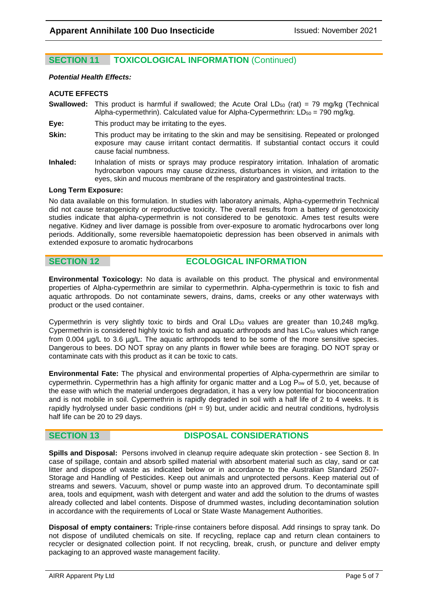# **SECTION 11 TOXICOLOGICAL INFORMATION** (Continued)

### *Potential Health Effects:*

### **ACUTE EFFECTS**

**Swallowed:** This product is harmful if swallowed; the Acute Oral LD<sub>50</sub> (rat) = 79 mg/kg (Technical Alpha-cypermethrin). Calculated value for Alpha-Cypermethrin:  $LD_{50} = 790$  mg/kg.

**Eye:** This product may be irritating to the eyes.

- **Skin:** This product may be irritating to the skin and may be sensitising. Repeated or prolonged exposure may cause irritant contact dermatitis. If substantial contact occurs it could cause facial numbness.
- **Inhaled:** Inhalation of mists or sprays may produce respiratory irritation. Inhalation of aromatic hydrocarbon vapours may cause dizziness, disturbances in vision, and irritation to the eyes, skin and mucous membrane of the respiratory and gastrointestinal tracts.

### **Long Term Exposure:**

No data available on this formulation. In studies with laboratory animals, Alpha-cypermethrin Technical did not cause teratogenicity or reproductive toxicity. The overall results from a battery of genotoxicity studies indicate that alpha-cypermethrin is not considered to be genotoxic. Ames test results were negative. Kidney and liver damage is possible from over-exposure to aromatic hydrocarbons over long periods. Additionally, some reversible haematopoietic depression has been observed in animals with extended exposure to aromatic hydrocarbons

# **SECTION 12 ECOLOGICAL INFORMATION**

**Environmental Toxicology:** No data is available on this product. The physical and environmental properties of Alpha-cypermethrin are similar to cypermethrin. Alpha-cypermethrin is toxic to fish and aquatic arthropods. Do not contaminate sewers, drains, dams, creeks or any other waterways with product or the used container.

Cypermethrin is very slightly toxic to birds and Oral  $LD_{50}$  values are greater than 10,248 mg/kg. Cypermethrin is considered highly toxic to fish and aquatic arthropods and has  $LC_{50}$  values which range from 0.004 µg/L to 3.6 µg/L. The aquatic arthropods tend to be some of the more sensitive species. Dangerous to bees. DO NOT spray on any plants in flower while bees are foraging. DO NOT spray or contaminate cats with this product as it can be toxic to cats.

**Environmental Fate:** The physical and environmental properties of Alpha-cypermethrin are similar to cypermethrin. Cypermethrin has a high affinity for organic matter and a Log  $P_{ow}$  of 5.0, yet, because of the ease with which the material undergoes degradation, it has a very low potential for bioconcentration and is not mobile in soil. Cypermethrin is rapidly degraded in soil with a half life of 2 to 4 weeks. It is rapidly hydrolysed under basic conditions ( $pH = 9$ ) but, under acidic and neutral conditions, hydrolysis half life can be 20 to 29 days.

# **SECTION 13 DISPOSAL CONSIDERATIONS**

**Spills and Disposal:** Persons involved in cleanup require adequate skin protection - see Section 8. In case of spillage, contain and absorb spilled material with absorbent material such as clay, sand or cat litter and dispose of waste as indicated below or in accordance to the Australian Standard 2507- Storage and Handling of Pesticides. Keep out animals and unprotected persons. Keep material out of streams and sewers. Vacuum, shovel or pump waste into an approved drum. To decontaminate spill area, tools and equipment, wash with detergent and water and add the solution to the drums of wastes already collected and label contents. Dispose of drummed wastes, including decontamination solution in accordance with the requirements of Local or State Waste Management Authorities.

**Disposal of empty containers:** Triple-rinse containers before disposal. Add rinsings to spray tank. Do not dispose of undiluted chemicals on site. If recycling, replace cap and return clean containers to recycler or designated collection point. If not recycling, break, crush, or puncture and deliver empty packaging to an approved waste management facility.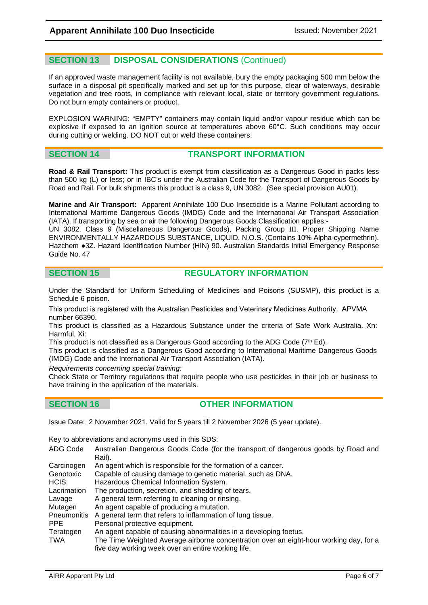# **SECTION 13 DISPOSAL CONSIDERATIONS** (Continued)

If an approved waste management facility is not available, bury the empty packaging 500 mm below the surface in a disposal pit specifically marked and set up for this purpose, clear of waterways, desirable vegetation and tree roots, in compliance with relevant local, state or territory government regulations. Do not burn empty containers or product.

EXPLOSION WARNING: "EMPTY" containers may contain liquid and/or vapour residue which can be explosive if exposed to an ignition source at temperatures above 60°C. Such conditions may occur during cutting or welding. DO NOT cut or weld these containers.

# **SECTION 14 TRANSPORT INFORMATION**

**Road & Rail Transport:** This product is exempt from classification as a Dangerous Good in packs less than 500 kg (L) or less; or in IBC's under the Australian Code for the Transport of Dangerous Goods by Road and Rail. For bulk shipments this product is a class 9, UN 3082. (See special provision AU01).

**Marine and Air Transport:** Apparent Annihilate 100 Duo Insecticide is a Marine Pollutant according to International Maritime Dangerous Goods (IMDG) Code and the International Air Transport Association (IATA). If transporting by sea or air the following Dangerous Goods Classification applies:-

UN 3082, Class 9 (Miscellaneous Dangerous Goods), Packing Group III, Proper Shipping Name ENVIRONMENTALLY HAZARDOUS SUBSTANCE, LIQUID, N.O.S. (Contains 10% Alpha-cypermethrin). Hazchem ●3Z. Hazard Identification Number (HIN) 90. Australian Standards Initial Emergency Response Guide No. 47

# **SECTION 15 REGULATORY INFORMATION**

Under the Standard for Uniform Scheduling of Medicines and Poisons (SUSMP), this product is a Schedule 6 poison.

This product is registered with the Australian Pesticides and Veterinary Medicines Authority. APVMA number 66390.

This product is classified as a Hazardous Substance under the criteria of Safe Work Australia. Xn: Harmful, Xi:

This product is not classified as a Dangerous Good according to the ADG Code ( $7^{\text{th}}$  Ed).

This product is classified as a Dangerous Good according to International Maritime Dangerous Goods (IMDG) Code and the International Air Transport Association (IATA).

*Requirements concerning special training:* 

Check State or Territory regulations that require people who use pesticides in their job or business to have training in the application of the materials.

# **SECTION 16 OTHER INFORMATION**

Issue Date: 2 November 2021. Valid for 5 years till 2 November 2026 (5 year update).

Key to abbreviations and acronyms used in this SDS:

- ADG Code Australian Dangerous Goods Code (for the transport of dangerous goods by Road and Rail).
- Carcinogen An agent which is responsible for the formation of a cancer.
- Genotoxic Capable of causing damage to genetic material, such as DNA.
- HCIS: Hazardous Chemical Information System.
- Lacrimation The production, secretion, and shedding of tears.<br>Lavage A general term referring to cleaning or rinsing.
- A general term referring to cleaning or rinsing.
- Mutagen An agent capable of producing a mutation.
- Pneumonitis A general term that refers to inflammation of lung tissue.
- Personal protective equipment.

Teratogen An agent capable of causing abnormalities in a developing foetus.

TWA The Time Weighted Average airborne concentration over an eight-hour working day, for a five day working week over an entire working life.